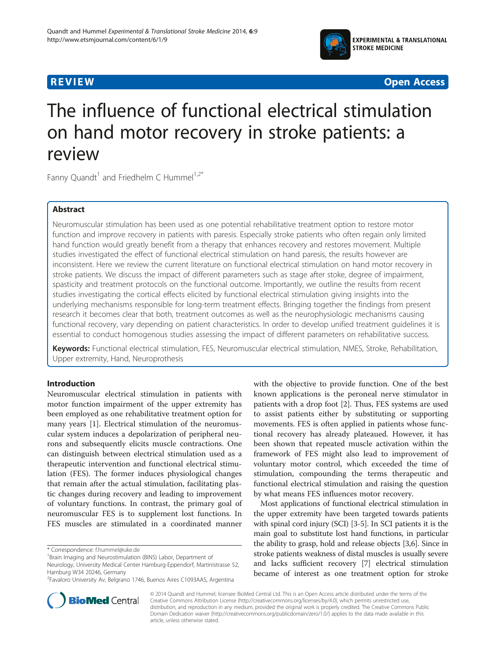

**REVIEW CONSTRUCTION CONSTRUCTION CONSTRUCTS** 

# The influence of functional electrical stimulation on hand motor recovery in stroke patients: a review

Fanny Quandt<sup>1</sup> and Friedhelm C Hummel<sup>1,2\*</sup>

# Abstract

Neuromuscular stimulation has been used as one potential rehabilitative treatment option to restore motor function and improve recovery in patients with paresis. Especially stroke patients who often regain only limited hand function would greatly benefit from a therapy that enhances recovery and restores movement. Multiple studies investigated the effect of functional electrical stimulation on hand paresis, the results however are inconsistent. Here we review the current literature on functional electrical stimulation on hand motor recovery in stroke patients. We discuss the impact of different parameters such as stage after stoke, degree of impairment, spasticity and treatment protocols on the functional outcome. Importantly, we outline the results from recent studies investigating the cortical effects elicited by functional electrical stimulation giving insights into the underlying mechanisms responsible for long-term treatment effects. Bringing together the findings from present research it becomes clear that both, treatment outcomes as well as the neurophysiologic mechanisms causing functional recovery, vary depending on patient characteristics. In order to develop unified treatment guidelines it is essential to conduct homogenous studies assessing the impact of different parameters on rehabilitative success.

Keywords: Functional electrical stimulation, FES, Neuromuscular electrical stimulation, NMES, Stroke, Rehabilitation, Upper extremity, Hand, Neuroprothesis

# Introduction

Neuromuscular electrical stimulation in patients with motor function impairment of the upper extremity has been employed as one rehabilitative treatment option for many years [[1\]](#page-5-0). Electrical stimulation of the neuromuscular system induces a depolarization of peripheral neurons and subsequently elicits muscle contractions. One can distinguish between electrical stimulation used as a therapeutic intervention and functional electrical stimulation (FES). The former induces physiological changes that remain after the actual stimulation, facilitating plastic changes during recovery and leading to improvement of voluntary functions. In contrast, the primary goal of neuromuscular FES is to supplement lost functions. In FES muscles are stimulated in a coordinated manner

\* Correspondence: [f.hummel@uke.de](mailto:f.hummel@uke.de) <sup>1</sup>

Neurology, University Medical Center Hamburg-Eppendorf, Martinistrasse 52, Hamburg W34 20246, Germany

with the objective to provide function. One of the best known applications is the peroneal nerve stimulator in patients with a drop foot [\[2](#page-5-0)]. Thus, FES systems are used to assist patients either by substituting or supporting movements. FES is often applied in patients whose functional recovery has already plateaued. However, it has been shown that repeated muscle activation within the framework of FES might also lead to improvement of voluntary motor control, which exceeded the time of stimulation, compounding the terms therapeutic and functional electrical stimulation and raising the question by what means FES influences motor recovery.

Most applications of functional electrical stimulation in the upper extremity have been targeted towards patients with spinal cord injury (SCI) [[3-5\]](#page-5-0). In SCI patients it is the main goal to substitute lost hand functions, in particular the ability to grasp, hold and release objects [[3,6](#page-5-0)]. Since in stroke patients weakness of distal muscles is usually severe and lacks sufficient recovery [\[7](#page-5-0)] electrical stimulation became of interest as one treatment option for stroke



© 2014 Quandt and Hummel; licensee BioMed Central Ltd. This is an Open Access article distributed under the terms of the Creative Commons Attribution License (<http://creativecommons.org/licenses/by/4.0>), which permits unrestricted use, distribution, and reproduction in any medium, provided the original work is properly credited. The Creative Commons Public Domain Dedication waiver [\(http://creativecommons.org/publicdomain/zero/1.0/\)](http://creativecommons.org/publicdomain/zero/1.0/) applies to the data made available in this article, unless otherwise stated.

<sup>&</sup>lt;sup>1</sup>Brain Imaging and Neurostimulation (BINS) Labor, Department of

<sup>2</sup> Favaloro University Av, Belgrano 1746, Buenos Aires C1093AAS, Argentina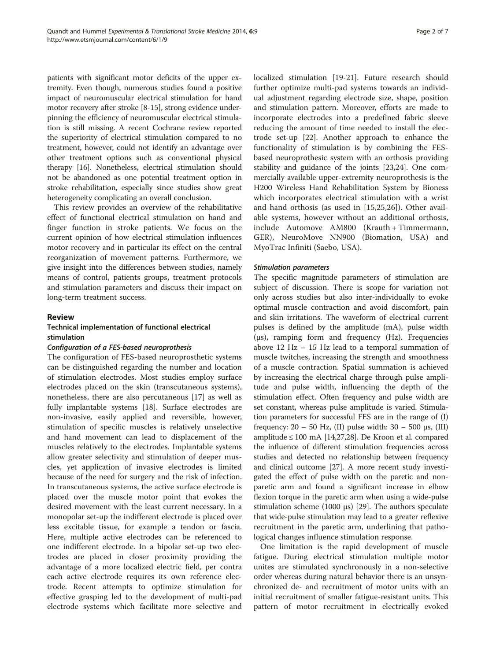patients with significant motor deficits of the upper extremity. Even though, numerous studies found a positive impact of neuromuscular electrical stimulation for hand motor recovery after stroke [\[8](#page-5-0)-[15](#page-5-0)], strong evidence underpinning the efficiency of neuromuscular electrical stimulation is still missing. A recent Cochrane review reported the superiority of electrical stimulation compared to no treatment, however, could not identify an advantage over other treatment options such as conventional physical therapy [\[16\]](#page-5-0). Nonetheless, electrical stimulation should not be abandoned as one potential treatment option in stroke rehabilitation, especially since studies show great heterogeneity complicating an overall conclusion.

This review provides an overview of the rehabilitative effect of functional electrical stimulation on hand and finger function in stroke patients. We focus on the current opinion of how electrical stimulation influences motor recovery and in particular its effect on the central reorganization of movement patterns. Furthermore, we give insight into the differences between studies, namely means of control, patients groups, treatment protocols and stimulation parameters and discuss their impact on long-term treatment success.

### Review

### Technical implementation of functional electrical stimulation

#### Configuration of a FES-based neuroprothesis

The configuration of FES-based neuroprosthetic systems can be distinguished regarding the number and location of stimulation electrodes. Most studies employ surface electrodes placed on the skin (transcutaneous systems), nonetheless, there are also percutaneous [\[17\]](#page-5-0) as well as fully implantable systems [\[18](#page-5-0)]. Surface electrodes are non-invasive, easily applied and reversible, however, stimulation of specific muscles is relatively unselective and hand movement can lead to displacement of the muscles relatively to the electrodes. Implantable systems allow greater selectivity and stimulation of deeper muscles, yet application of invasive electrodes is limited because of the need for surgery and the risk of infection. In transcutaneous systems, the active surface electrode is placed over the muscle motor point that evokes the desired movement with the least current necessary. In a monopolar set-up the indifferent electrode is placed over less excitable tissue, for example a tendon or fascia. Here, multiple active electrodes can be referenced to one indifferent electrode. In a bipolar set-up two electrodes are placed in closer proximity providing the advantage of a more localized electric field, per contra each active electrode requires its own reference electrode. Recent attempts to optimize stimulation for effective grasping led to the development of multi-pad electrode systems which facilitate more selective and localized stimulation [\[19](#page-5-0)-[21\]](#page-5-0). Future research should further optimize multi-pad systems towards an individual adjustment regarding electrode size, shape, position and stimulation pattern. Moreover, efforts are made to incorporate electrodes into a predefined fabric sleeve reducing the amount of time needed to install the electrode set-up [[22\]](#page-5-0). Another approach to enhance the functionality of stimulation is by combining the FESbased neuroprothesic system with an orthosis providing stability and guidance of the joints [\[23,24\]](#page-5-0). One commercially available upper-extremity neuroprothesis is the H200 Wireless Hand Rehabilitation System by Bioness which incorporates electrical stimulation with a wrist and hand orthosis (as used in [\[15,25,26\]](#page-5-0)). Other available systems, however without an additional orthosis, include Automove AM800 (Krauth + Timmermann, GER), NeuroMove NN900 (Biomation, USA) and MyoTrac Infiniti (Saebo, USA).

#### Stimulation parameters

The specific magnitude parameters of stimulation are subject of discussion. There is scope for variation not only across studies but also inter-individually to evoke optimal muscle contraction and avoid discomfort, pain and skin irritations. The waveform of electrical current pulses is defined by the amplitude (mA), pulse width (μs), ramping form and frequency (Hz). Frequencies above 12 Hz – 15 Hz lead to a temporal summation of muscle twitches, increasing the strength and smoothness of a muscle contraction. Spatial summation is achieved by increasing the electrical charge through pulse amplitude and pulse width, influencing the depth of the stimulation effect. Often frequency and pulse width are set constant, whereas pulse amplitude is varied. Stimulation parameters for successful FES are in the range of (I) frequency:  $20 - 50$  Hz, (II) pulse width:  $30 - 500$   $\mu$ s, (III) amplitude ≤ 100 mA [[14,27,28](#page-5-0)]. De Kroon et al. compared the influence of different stimulation frequencies across studies and detected no relationship between frequency and clinical outcome [[27](#page-5-0)]. A more recent study investigated the effect of pulse width on the paretic and nonparetic arm and found a significant increase in elbow flexion torque in the paretic arm when using a wide-pulse stimulation scheme (1000 μs) [[29](#page-5-0)]. The authors speculate that wide-pulse stimulation may lead to a greater reflexive recruitment in the paretic arm, underlining that pathological changes influence stimulation response.

One limitation is the rapid development of muscle fatigue. During electrical stimulation multiple motor unites are stimulated synchronously in a non-selective order whereas during natural behavior there is an unsynchronized de- and recruitment of motor units with an initial recruitment of smaller fatigue-resistant units. This pattern of motor recruitment in electrically evoked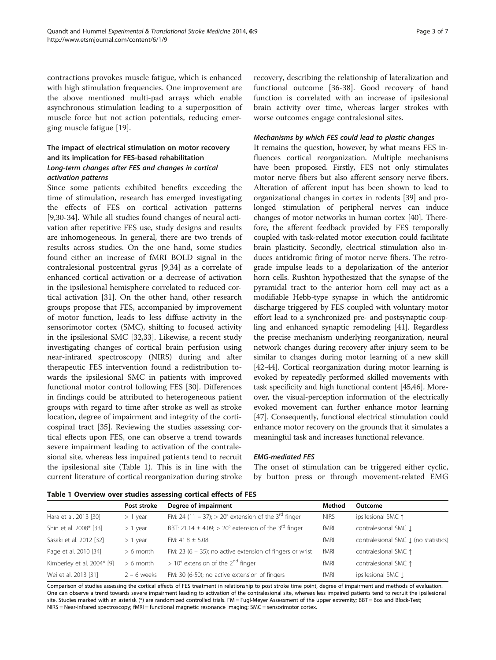muscle force but not action potentials, reducing emerging muscle fatigue [\[19\]](#page-5-0).

# The impact of electrical stimulation on motor recovery and its implication for FES-based rehabilitation Long-term changes after FES and changes in cortical activation patterns

Since some patients exhibited benefits exceeding the time of stimulation, research has emerged investigating the effects of FES on cortical activation patterns [[9,30-34](#page-5-0)]. While all studies found changes of neural activation after repetitive FES use, study designs and results are inhomogeneous. In general, there are two trends of results across studies. On the one hand, some studies found either an increase of fMRI BOLD signal in the contralesional postcentral gyrus [[9,34\]](#page-5-0) as a correlate of enhanced cortical activation or a decrease of activation in the ipsilesional hemisphere correlated to reduced cortical activation [[31\]](#page-5-0). On the other hand, other research groups propose that FES, accompanied by improvement of motor function, leads to less diffuse activity in the sensorimotor cortex (SMC), shifting to focused activity in the ipsilesional SMC [\[32,33](#page-5-0)]. Likewise, a recent study investigating changes of cortical brain perfusion using near-infrared spectroscopy (NIRS) during and after therapeutic FES intervention found a redistribution towards the ipsilesional SMC in patients with improved functional motor control following FES [\[30\]](#page-5-0). Differences in findings could be attributed to heterogeneous patient groups with regard to time after stroke as well as stroke location, degree of impairment and integrity of the corticospinal tract [[35\]](#page-5-0). Reviewing the studies assessing cortical effects upon FES, one can observe a trend towards severe impairment leading to activation of the contralesional site, whereas less impaired patients tend to recruit the ipsilesional site (Table 1). This is in line with the current literature of cortical reorganization during stroke

recovery, describing the relationship of lateralization and functional outcome [[36-38](#page-5-0)]. Good recovery of hand function is correlated with an increase of ipsilesional brain activity over time, whereas larger strokes with worse outcomes engage contralesional sites.

# Mechanisms by which FES could lead to plastic changes

It remains the question, however, by what means FES influences cortical reorganization. Multiple mechanisms have been proposed. Firstly, FES not only stimulates motor nerve fibers but also afferent sensory nerve fibers. Alteration of afferent input has been shown to lead to organizational changes in cortex in rodents [\[39\]](#page-5-0) and prolonged stimulation of peripheral nerves can induce changes of motor networks in human cortex [\[40\]](#page-6-0). Therefore, the afferent feedback provided by FES temporally coupled with task-related motor execution could facilitate brain plasticity. Secondly, electrical stimulation also induces antidromic firing of motor nerve fibers. The retrograde impulse leads to a depolarization of the anterior horn cells. Rushton hypothesized that the synapse of the pyramidal tract to the anterior horn cell may act as a modifiable Hebb-type synapse in which the antidromic discharge triggered by FES coupled with voluntary motor effort lead to a synchronized pre- and postsynaptic coupling and enhanced synaptic remodeling [\[41\]](#page-6-0). Regardless the precise mechanism underlying reorganization, neural network changes during recovery after injury seem to be similar to changes during motor learning of a new skill [[42](#page-6-0)-[44\]](#page-6-0). Cortical reorganization during motor learning is evoked by repeatedly performed skilled movements with task specificity and high functional content [[45,46](#page-6-0)]. Moreover, the visual-perception information of the electrically evoked movement can further enhance motor learning [[47](#page-6-0)]. Consequently, functional electrical stimulation could enhance motor recovery on the grounds that it simulates a meaningful task and increases functional relevance.

#### EMG-mediated FES

The onset of stimulation can be triggered either cyclic, by button press or through movement-related EMG

| Table 1 Overview over studies assessing cortical effects of FES |  |  |  |  |  |  |
|-----------------------------------------------------------------|--|--|--|--|--|--|
|-----------------------------------------------------------------|--|--|--|--|--|--|

|                            | Post stroke   | Degree of impairment                                                     | Method      | Outcome                              |
|----------------------------|---------------|--------------------------------------------------------------------------|-------------|--------------------------------------|
| Hara et al. 2013 [30]      | $> 1$ year    | FM: 24 (11 - 37); $> 20^{\circ}$ extension of the 3 <sup>rd</sup> finger | <b>NIRS</b> | ipsilesional SMC 1                   |
| Shin et al. 2008* [33]     | $> 1$ year    | BBT: 21.14 $\pm$ 4.09; > 20° extension of the 3 <sup>rd</sup> finger     | fMRI        | contralesional SMC L                 |
| Sasaki et al. 2012 [32]    | $> 1$ year    | FM: $41.8 \pm 5.08$                                                      | fMRI        | contralesional SMC L (no statistics) |
| Page et al. 2010 [34]      | $> 6$ month   | FM: 23 (6 $-$ 35); no active extension of fingers or wrist               | fMRI        | contralesional SMC 1                 |
| Kimberley et al. 2004* [9] | $> 6$ month   | $> 10^{\circ}$ extension of the 2 <sup>nd</sup> finger                   | fMRI        | contralesional SMC 1                 |
| Wei et al. 2013 [31]       | $2 - 6$ weeks | FM: 30 (6-50); no active extension of fingers                            | fMRI        | ipsilesional SMC L                   |

Comparison of studies assessing the cortical effects of FES treatment in relationship to post stroke time point, degree of impairment and methods of evaluation. One can observe a trend towards severe impairment leading to activation of the contralesional site, whereas less impaired patients tend to recruit the ipsilesional site. Studies marked with an asterisk (\*) are randomized controlled trials. FM = Fugl-Meyer Assessment of the upper extremity; BBT = Box and Block-Test; NIRS = Near-infrared spectroscopy; fMRI = functional magnetic resonance imaging; SMC = sensorimotor cortex.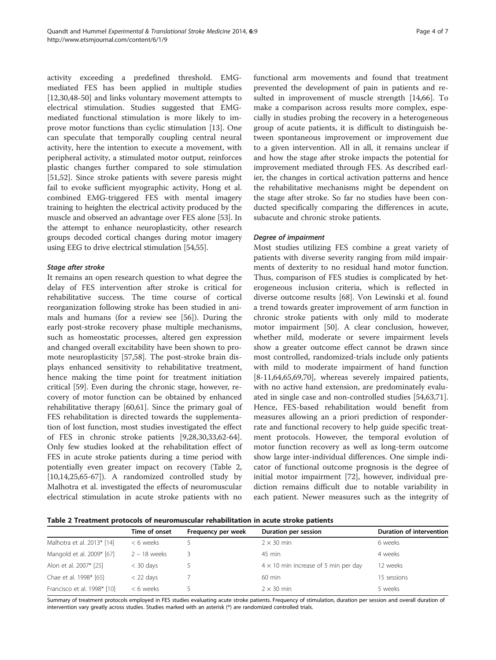<span id="page-3-0"></span>activity exceeding a predefined threshold. EMGmediated FES has been applied in multiple studies [[12,30,](#page-5-0)[48-50\]](#page-6-0) and links voluntary movement attempts to electrical stimulation. Studies suggested that EMGmediated functional stimulation is more likely to improve motor functions than cyclic stimulation [\[13](#page-5-0)]. One can speculate that temporally coupling central neural activity, here the intention to execute a movement, with peripheral activity, a stimulated motor output, reinforces plastic changes further compared to sole stimulation [[51,52\]](#page-6-0). Since stroke patients with severe paresis might fail to evoke sufficient myographic activity, Hong et al. combined EMG-triggered FES with mental imagery training to heighten the electrical activity produced by the muscle and observed an advantage over FES alone [\[53\]](#page-6-0). In the attempt to enhance neuroplasticity, other research groups decoded cortical changes during motor imagery using EEG to drive electrical stimulation [[54,55\]](#page-6-0).

#### Stage after stroke

It remains an open research question to what degree the delay of FES intervention after stroke is critical for rehabilitative success. The time course of cortical reorganization following stroke has been studied in animals and humans (for a review see [\[56](#page-6-0)]). During the early post-stroke recovery phase multiple mechanisms, such as homeostatic processes, altered gen expression and changed overall excitability have been shown to promote neuroplasticity [\[57,58\]](#page-6-0). The post-stroke brain displays enhanced sensitivity to rehabilitative treatment, hence making the time point for treatment initiation critical [[59\]](#page-6-0). Even during the chronic stage, however, recovery of motor function can be obtained by enhanced rehabilitative therapy [\[60,61](#page-6-0)]. Since the primary goal of FES rehabilitation is directed towards the supplementation of lost function, most studies investigated the effect of FES in chronic stroke patients [\[9,28,30,33,](#page-5-0)[62-64](#page-6-0)]. Only few studies looked at the rehabilitation effect of FES in acute stroke patients during a time period with potentially even greater impact on recovery (Table 2, [[10,14,25,](#page-5-0)[65-67\]](#page-6-0)). A randomized controlled study by Malhotra et al. investigated the effects of neuromuscular electrical stimulation in acute stroke patients with no

functional arm movements and found that treatment prevented the development of pain in patients and resulted in improvement of muscle strength [[14,](#page-5-0)[66\]](#page-6-0). To make a comparison across results more complex, especially in studies probing the recovery in a heterogeneous group of acute patients, it is difficult to distinguish between spontaneous improvement or improvement due to a given intervention. All in all, it remains unclear if and how the stage after stroke impacts the potential for improvement mediated through FES. As described earlier, the changes in cortical activation patterns and hence the rehabilitative mechanisms might be dependent on the stage after stroke. So far no studies have been conducted specifically comparing the differences in acute, subacute and chronic stroke patients.

### Degree of impairment

Most studies utilizing FES combine a great variety of patients with diverse severity ranging from mild impairments of dexterity to no residual hand motor function. Thus, comparison of FES studies is complicated by heterogeneous inclusion criteria, which is reflected in diverse outcome results [\[68](#page-6-0)]. Von Lewinski et al. found a trend towards greater improvement of arm function in chronic stroke patients with only mild to moderate motor impairment [\[50](#page-6-0)]. A clear conclusion, however, whether mild, moderate or severe impairment levels show a greater outcome effect cannot be drawn since most controlled, randomized-trials include only patients with mild to moderate impairment of hand function [[8-11](#page-5-0)[,64,65,69,70\]](#page-6-0), whereas severely impaired patients, with no active hand extension, are predominately evaluated in single case and non-controlled studies [[54,63,71](#page-6-0)]. Hence, FES-based rehabilitation would benefit from measures allowing an a priori prediction of responderrate and functional recovery to help guide specific treatment protocols. However, the temporal evolution of motor function recovery as well as long-term outcome show large inter-individual differences. One simple indicator of functional outcome prognosis is the degree of initial motor impairment [\[72](#page-6-0)], however, individual prediction remains difficult due to notable variability in each patient. Newer measures such as the integrity of

Table 2 Treatment protocols of neuromuscular rehabilitation in acute stroke patients

|                             | Time of onset  | Frequency per week | Duration per session                        | <b>Duration of intervention</b> |
|-----------------------------|----------------|--------------------|---------------------------------------------|---------------------------------|
| Malhotra et al. 2013* [14]  | $< 6$ weeks    |                    | $2 \times 30$ min                           | 6 weeks                         |
| Mangold et al. 2009* [67]   | $2 - 18$ weeks |                    | 45 min                                      | 4 weeks                         |
| Alon et al. 2007* [25]      | $<$ 30 days    |                    | $4 \times 10$ min increase of 5 min per day | 12 weeks                        |
| Chae et al. 1998* [65]      | $<$ 22 days    |                    | 60 min                                      | 15 sessions                     |
| Francisco et al. 1998* [10] | $< 6$ weeks    |                    | $2 \times 30$ min                           | 5 weeks                         |

Summary of treatment protocols employed in FES studies evaluating acute stroke patients. Frequency of stimulation, duration per session and overall duration of intervention vary greatly across studies. Studies marked with an asterisk (\*) are randomized controlled trials.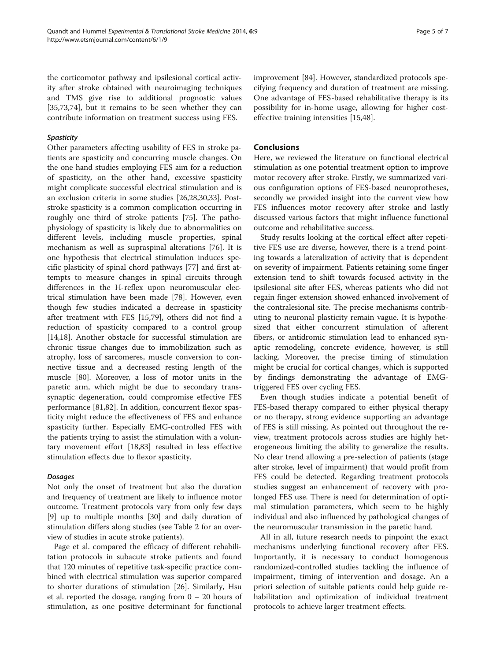the corticomotor pathway and ipsilesional cortical activity after stroke obtained with neuroimaging techniques and TMS give rise to additional prognostic values [[35,](#page-5-0)[73,74\]](#page-6-0), but it remains to be seen whether they can contribute information on treatment success using FES.

#### **Spasticity**

Other parameters affecting usability of FES in stroke patients are spasticity and concurring muscle changes. On the one hand studies employing FES aim for a reduction of spasticity, on the other hand, excessive spasticity might complicate successful electrical stimulation and is an exclusion criteria in some studies [\[26,28,30,33\]](#page-5-0). Poststroke spasticity is a common complication occurring in roughly one third of stroke patients [\[75\]](#page-6-0). The pathophysiology of spasticity is likely due to abnormalities on different levels, including muscle properties, spinal mechanism as well as supraspinal alterations [\[76\]](#page-6-0). It is one hypothesis that electrical stimulation induces specific plasticity of spinal chord pathways [[77\]](#page-6-0) and first attempts to measure changes in spinal circuits through differences in the H-reflex upon neuromuscular electrical stimulation have been made [\[78](#page-6-0)]. However, even though few studies indicated a decrease in spasticity after treatment with FES [\[15](#page-5-0)[,79](#page-6-0)], others did not find a reduction of spasticity compared to a control group [[14,18\]](#page-5-0). Another obstacle for successful stimulation are chronic tissue changes due to immobilization such as atrophy, loss of sarcomeres, muscle conversion to connective tissue and a decreased resting length of the muscle [\[80](#page-6-0)]. Moreover, a loss of motor units in the paretic arm, which might be due to secondary transsynaptic degeneration, could compromise effective FES performance [[81](#page-6-0),[82](#page-6-0)]. In addition, concurrent flexor spasticity might reduce the effectiveness of FES and enhance spasticity further. Especially EMG-controlled FES with the patients trying to assist the stimulation with a voluntary movement effort [\[18](#page-5-0)[,83](#page-6-0)] resulted in less effective stimulation effects due to flexor spasticity.

#### Dosages

Not only the onset of treatment but also the duration and frequency of treatment are likely to influence motor outcome. Treatment protocols vary from only few days [[9\]](#page-5-0) up to multiple months [\[30](#page-5-0)] and daily duration of stimulation differs along studies (see Table [2](#page-3-0) for an overview of studies in acute stroke patients).

Page et al. compared the efficacy of different rehabilitation protocols in subacute stroke patients and found that 120 minutes of repetitive task-specific practice combined with electrical stimulation was superior compared to shorter durations of stimulation [[26\]](#page-5-0). Similarly, Hsu et al. reported the dosage, ranging from  $0 - 20$  hours of stimulation, as one positive determinant for functional improvement [[84\]](#page-6-0). However, standardized protocols specifying frequency and duration of treatment are missing. One advantage of FES-based rehabilitative therapy is its possibility for in-home usage, allowing for higher costeffective training intensities [\[15](#page-5-0)[,48](#page-6-0)].

# Conclusions

Here, we reviewed the literature on functional electrical stimulation as one potential treatment option to improve motor recovery after stroke. Firstly, we summarized various configuration options of FES-based neuroprotheses, secondly we provided insight into the current view how FES influences motor recovery after stroke and lastly discussed various factors that might influence functional outcome and rehabilitative success.

Study results looking at the cortical effect after repetitive FES use are diverse, however, there is a trend pointing towards a lateralization of activity that is dependent on severity of impairment. Patients retaining some finger extension tend to shift towards focused activity in the ipsilesional site after FES, whereas patients who did not regain finger extension showed enhanced involvement of the contralesional site. The precise mechanisms contributing to neuronal plasticity remain vague. It is hypothesized that either concurrent stimulation of afferent fibers, or antidromic stimulation lead to enhanced synaptic remodeling, concrete evidence, however, is still lacking. Moreover, the precise timing of stimulation might be crucial for cortical changes, which is supported by findings demonstrating the advantage of EMGtriggered FES over cycling FES.

Even though studies indicate a potential benefit of FES-based therapy compared to either physical therapy or no therapy, strong evidence supporting an advantage of FES is still missing. As pointed out throughout the review, treatment protocols across studies are highly heterogeneous limiting the ability to generalize the results. No clear trend allowing a pre-selection of patients (stage after stroke, level of impairment) that would profit from FES could be detected. Regarding treatment protocols studies suggest an enhancement of recovery with prolonged FES use. There is need for determination of optimal stimulation parameters, which seem to be highly individual and also influenced by pathological changes of the neuromuscular transmission in the paretic hand.

All in all, future research needs to pinpoint the exact mechanisms underlying functional recovery after FES. Importantly, it is necessary to conduct homogenous randomized-controlled studies tackling the influence of impairment, timing of intervention and dosage. An a priori selection of suitable patients could help guide rehabilitation and optimization of individual treatment protocols to achieve larger treatment effects.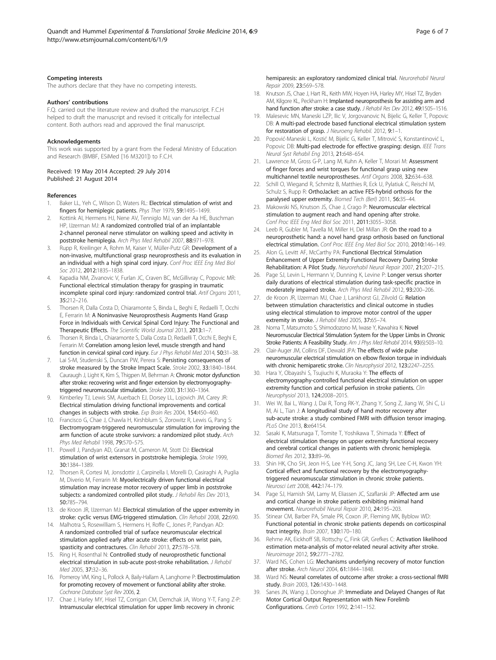#### <span id="page-5-0"></span>Competing interests

The authors declare that they have no competing interests.

#### Authors' contributions

F.Q. carried out the literature review and drafted the manuscript. F.C.H helped to draft the manuscript and revised it critically for intellectual content. Both authors read and approved the final manuscript.

#### Acknowledgements

This work was supported by a grant from the Federal Ministry of Education and Research (BMBF, ESiMed [16 M3201]) to F.C.H.

#### Received: 19 May 2014 Accepted: 29 July 2014 Published: 21 August 2014

#### References

- 1. Baker LL, Yeh C, Wilson D, Waters RL: Electrical stimulation of wrist and fingers for hemiplegic patients. Phys Ther 1979, 59:1495-1499
- 2. Kottink AI, Hermens HJ, Nene AV, Tenniglo MJ, van der Aa HE, Buschman HP, IJzerman MJ: A randomized controlled trial of an implantable 2-channel peroneal nerve stimulator on walking speed and activity in poststroke hemiplegia. Arch Phys Med Rehabil 2007, 88:971–978.
- 3. Rupp R, Kreilinger A, Rohm M, Kaiser V, Müller-Putz GR: Development of a non-invasive, multifunctional grasp neuroprosthesis and its evaluation in an individual with a high spinal cord injury. Conf Proc IEEE Eng Med Biol Soc 2012, 2012:1835–1838.
- 4. Kapadia NM, Zivanovic V, Furlan JC, Craven BC, McGillivray C, Popovic MR: Functional electrical stimulation therapy for grasping in traumatic incomplete spinal cord injury: randomized control trial. Artif Organs 2011, 35:212–216.
- 5. Thorsen R, Dalla Costa D, Chiaramonte S, Binda L, Beghi E, Redaelli T, Occhi E, Ferrarin M: A Noninvasive Neuroprosthesis Augments Hand Grasp Force in Individuals with Cervical Spinal Cord Injury: The Functional and Therapeutic Effects. The Scientific World Journal 2013, 2013:1–7.
- 6. Thorsen R, Binda L, Chiaramonte S, Dalla Costa D, Redaelli T, Occhi E, Beghi E, Ferrarin M: Correlation among lesion level, muscle strength and hand function in cervical spinal cord injury. Eur J Phys Rehabil Med 2014, 50:31-38.
- 7. Lai S-M, Studenski S, Duncan PW, Perera S: Persisting consequences of stroke measured by the Stroke Impact Scale. Stroke 2002, 33:1840–1844.
- 8. Cauraugh J, Light K, Kim S, Thigpen M, Behrman A: Chronic motor dysfunction after stroke: recovering wrist and finger extension by electromyographytriggered neuromuscular stimulation. Stroke 2000, 31:1360–1364.
- 9. Kimberley TJ, Lewis SM, Auerbach EJ, Dorsey LL, Lojovich JM, Carey JR: Electrical stimulation driving functional improvements and cortical changes in subjects with stroke. Exp Brain Res 2004, 154:450–460.
- 10. Francisco G, Chae J, Chawla H, Kirshblum S, Zorowitz R, Lewis G, Pang S: Electromyogram-triggered neuromuscular stimulation for improving the arm function of acute stroke survivors: a randomized pilot study. Arch Phys Med Rehabil 1998, 79:570–575.
- 11. Powell J, Pandyan AD, Granat M, Cameron M, Stott DJ: Electrical stimulation of wrist extensors in poststroke hemiplegia. Stroke 1999, 30:1384–1389.
- 12. Thorsen R, Cortesi M, Jonsdottir J, Carpinella I, Morelli D, Casiraghi A, Puglia M, Diverio M, Ferrarin M: Myoelectrically driven functional electrical stimulation may increase motor recovery of upper limb in poststroke subjects: a randomized controlled pilot study. J Rehabil Res Dev 2013, 50:785–794.
- 13. de Kroon JR, IJzerman MJ: Electrical stimulation of the upper extremity in stroke: cyclic versus EMG-triggered stimulation. Clin Rehabil 2008, 22:690.
- 14. Malhotra S, Rosewilliam S, Hermens H, Roffe C, Jones P, Pandyan AD: A randomized controlled trial of surface neuromuscular electrical stimulation applied early after acute stroke: effects on wrist pain, spasticity and contractures. Clin Rehabil 2013, 27:578-578.
- 15. Ring H, Rosenthal N: Controlled study of neuroprosthetic functional electrical stimulation in sub-acute post-stroke rehabilitation. J Rehabil Med 2005, 37:32–36.
- 16. Pomeroy VM, King L, Pollock A, Baily-Hallam A, Langhorne P: Electrostimulation for promoting recovery of movement or functional ability after stroke. Cochrane Database Syst Rev 2006, 2.
- 17. Chae J, Harley MY, Hisel TZ, Corrigan CM, Demchak JA, Wong Y-T, Fang Z-P: Intramuscular electrical stimulation for upper limb recovery in chronic

hemiparesis: an exploratory randomized clinical trial. Neurorehabil Neural Repair 2009, 23:569–578.

- 18. Knutson JS, Chae J, Hart RL, Keith MW, Hoyen HA, Harley MY, Hisel TZ, Bryden AM, Kilgore KL, Peckham H: Implanted neuroprosthesis for assisting arm and hand function after stroke: a case study. J Rehabil Res Dev 2012, 49:1505-1516.
- 19. Malesevic MN, Maneski LZP, Ilic V, Jorgovanovic N, Bijelic G, Keller T, Popovic DB: A multi-pad electrode based functional electrical stimulation system for restoration of grasp. J Neuroeng Rehabil. 2012, 9:1-1.
- 20. Popović-Maneski L, Kostić M, Bijelic G, Keller T, Mitrović S, Konstantinović L, Popovic DB: Multi-pad electrode for effective grasping: design. IEEE Trans Neural Syst Rehabil Eng 2013, 21:648–654.
- 21. Lawrence M, Gross G-P, Lang M, Kuhn A, Keller T, Morari M: Assessment of finger forces and wrist torques for functional grasp using new multichannel textile neuroprostheses. Artif Organs 2008, 32:634–638.
- 22. Schill O, Wiegand R, Schmitz B, Matthies R, Eck U, Pylatiuk C, Reischl M, Schulz S, Rupp R: OrthoJacket: an active FES-hybrid orthosis for the paralysed upper extremity. Biomed Tech (Berl) 2011, 56:35-44.
- 23. Makowski NS, Knutson JS, Chae J, Crago P: Neuromuscular electrical stimulation to augment reach and hand opening after stroke. Conf Proc IEEE Eng Med Biol Soc 2011, 2011:3055–3058.
- 24. Leeb R, Gubler M, Tavella M, Miller H, Del Millan JR: On the road to a neuroprosthetic hand: a novel hand grasp orthosis based on functional electrical stimulation. Conf Proc IEEE Eng Med Biol Soc 2010, 2010:146–149.
- 25. Alon G, Levitt AF, McCarthy PA: Functional Electrical Stimulation Enhancement of Upper Extremity Functional Recovery During Stroke Rehabilitation: A Pilot Study. Neurorehabil Neural Repair 2007, 21:207–215.
- 26. Page SJ, Levin L, Hermann V, Dunning K, Levine P: Longer versus shorter daily durations of electrical stimulation during task-specific practice in moderately impaired stroke. Arch Phys Med Rehabil 2012, 93:200–206.
- 27. de Kroon JR, IJzerman MJ, Chae J, Lankhorst GJ, Zilvold G: Relation between stimulation characteristics and clinical outcome in studies using electrical stimulation to improve motor control of the upper extremity in stroke. J Rehabil Med 2005, 37:65–74.
- 28. Noma T, Matsumoto S, Shimodozono M, Iwase Y, Kawahira K: Novel Neuromuscular Electrical Stimulation System for the Upper Limbs in Chronic Stroke Patients: A Feasibility Study. Am J Phys Med Rehabil 2014, 93(6):503-10.
- 29. Clair-Auger JM, Collins DF, Dewald JPA: The effects of wide pulse neuromuscular electrical stimulation on elbow flexion torque in individuals with chronic hemiparetic stroke. Clin Neurophysiol 2012, 123:2247-2255.
- 30. Hara Y, Obayashi S, Tsujiuchi K, Muraoka Y: The effects of electromyography-controlled functional electrical stimulation on upper extremity function and cortical perfusion in stroke patients. Clin Neurophysiol 2013, 124:2008-2015.
- 31. Wei W, Bai L, Wang J, Dai R, Tong RK-Y, Zhang Y, Song Z, Jiang W, Shi C, Li M, Ai L, Tian J: A longitudinal study of hand motor recovery after sub-acute stroke: a study combined FMRI with diffusion tensor imaging. PLoS One 2013, 8:e64154.
- 32. Sasaki K, Matsunaga T, Tomite T, Yoshikawa T, Shimada Y: Effect of electrical stimulation therapy on upper extremity functional recovery and cerebral cortical changes in patients with chronic hemiplegia. Biomed Res 2012, 33:89–96.
- 33. Shin HK, Cho SH, Jeon H-S, Lee Y-H, Song JC, Jang SH, Lee C-H, Kwon YH: Cortical effect and functional recovery by the electromyographytriggered neuromuscular stimulation in chronic stroke patients. Neurosci Lett 2008, 442:174–179.
- 34. Page SJ, Harnish SM, Lamy M, Eliassen JC, Szaflarski JP: Affected arm use and cortical change in stroke patients exhibiting minimal hand movement. Neurorehabil Neural Repair 2010, 24:195–203.
- 35. Stinear CM, Barber PA, Smale PR, Coxon JP, Fleming MK, Byblow WD: Functional potential in chronic stroke patients depends on corticospinal tract integrity. Brain 2007, 130:170–180.
- 36. Rehme AK, Eickhoff SB, Rottschy C, Fink GR, Grefkes C: Activation likelihood estimation meta-analysis of motor-related neural activity after stroke. Neuroimage 2012, 59:2771–2782.
- 37. Ward NS, Cohen LG: Mechanisms underlying recovery of motor function after stroke. Arch Neurol 2004, 61:1844–1848.
- 38. Ward NS: Neural correlates of outcome after stroke: a cross-sectional fMRI study. Brain 2003, 126:1430–1448.
- 39. Sanes JN, Wang J, Donoghue JP: Immediate and Delayed Changes of Rat Motor Cortical Output Representation with New Forelimb Configurations. Cereb Cortex 1992, 2:141–152.